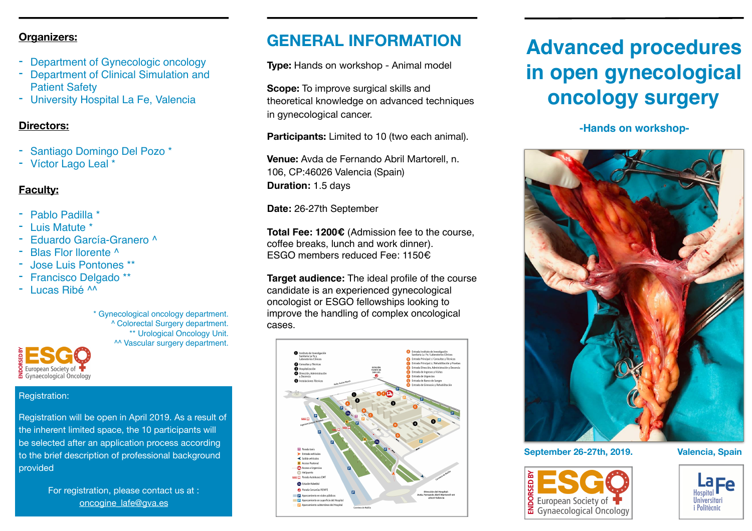#### **Organizers:**

- Department of Gynecologic oncology
- **Department of Clinical Simulation and** Patient Safety
- University Hospital La Fe, Valencia

#### **Directors:**

- Santiago Domingo Del Pozo \*
- Víctor Lago Leal \*

#### **Faculty:**

- Pablo Padilla \*
- Luis Matute \*
- Eduardo García-Granero ^
- Blas Flor llorente ^
- Jose Luis Pontones \*\*
- Francisco Delgado \*\*
- Lucas Ribé ^^

\* Gynecological oncology department. ^ Colorectal Surgery department. \*\* Urological Oncology Unit. ^^ Vascular surgery department.

#### European Society of Gynaecological Oncology

#### Registration:

Registration will be open in April 2019. As a result of the inherent limited space, the 10 participants will be selected after an application process according to the brief description of professional background provided

> For registration, please contact us at : [oncogine\\_lafe@gva.es](mailto:oncogine_lafe@gva.es)

## **GENERAL INFORMATION**

**Type:** Hands on workshop - Animal model

**Scope:** To improve surgical skills and theoretical knowledge on advanced techniques in gynecological cancer.

**Participants:** Limited to 10 (two each animal).

**Venue:** Avda de Fernando Abril Martorell, n. 106, CP:46026 Valencia (Spain) **Duration:** 1.5 days

**Date:** 26-27th September

**Total Fee: 1200€** (Admission fee to the course, coffee breaks, lunch and work dinner). ESGO members reduced Fee: 1150€

**Target audience:** The ideal profile of the course candidate is an experienced gynecological oncologist or ESGO fellowships looking to improve the handling of complex oncological cases.



# **Advanced procedures in open gynecological oncology surgery**

#### **-Hands on workshop-**



**September 26-27th, 2019. Valencia, Spain**



Universitari

*i* Politècnic